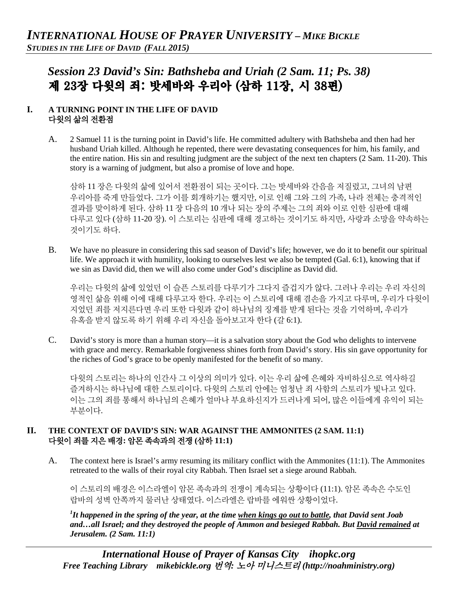# *Session 23 David's Sin: Bathsheba and Uriah (2 Sam. 11; Ps. 38)* 제 23장 다윗의 죄: 밧세바와 우리아 (삼하 11장, 시 38편)

### **I. A TURNING POINT IN THE LIFE OF DAVID**  다윗의 삶의 전환점

A. 2 Samuel 11 is the turning point in David's life. He committed adultery with Bathsheba and then had her husband Uriah killed. Although he repented, there were devastating consequences for him, his family, and the entire nation. His sin and resulting judgment are the subject of the next ten chapters (2 Sam. 11-20). This story is a warning of judgment, but also a promise of love and hope.

삼하 11 장은 다윗의 삶에 있어서 전환점이 되는 곳이다. 그는 밧세바와 간음을 저질렀고, 그녀의 남편 우리아를 죽게 만들었다. 그가 이를 회개하기는 했지만, 이로 인해 그와 그의 가족, 나라 전체는 충격적인 결과를 맞이하게 된다. 삼하 11 장 다음의 10 개나 되는 장의 주제는 그의 죄와 이로 인한 심판에 대해 다루고 있다 (삼하 11-20 장). 이 스토리는 심판에 대해 경고하는 것이기도 하지만, 사랑과 소망을 약속하는 것이기도 하다.

B. We have no pleasure in considering this sad season of David's life; however, we do it to benefit our spiritual life. We approach it with humility, looking to ourselves lest we also be tempted (Gal. 6:1), knowing that if we sin as David did, then we will also come under God's discipline as David did.

우리는 다윗의 삶에 있었던 이 슬픈 스토리를 다루기가 그다지 즐겁지가 않다. 그러나 우리는 우리 자신의 영적인 삶을 위해 이에 대해 다루고자 한다. 우리는 이 스토리에 대해 겸손을 가지고 다루며, 우리가 다윗이 지었던 죄를 저지른다면 우리 또한 다윗과 같이 하나님의 징계를 받게 된다는 것을 기억하며, 우리가 유혹을 받지 않도록 하기 위해 우리 자신을 돌아보고자 한다 (갈 6:1).

C. David's story is more than a human story—it is a salvation story about the God who delights to intervene with grace and mercy. Remarkable forgiveness shines forth from David's story. His sin gave opportunity for the riches of God's grace to be openly manifested for the benefit of so many.

다윗의 스토리는 하나의 인간사 그 이상의 의미가 있다. 이는 우리 삶에 은혜와 자비하심으로 역사하길 즐겨하시는 하나님에 대한 스토리이다. 다윗의 스토리 안에는 엄청난 죄 사함의 스토리가 빛나고 있다. 이는 그의 죄를 통해서 하나님의 은혜가 얼마나 부요하신지가 드러나게 되어, 많은 이들에게 유익이 되는 부분이다.

#### **II. THE CONTEXT OF DAVID'S SIN: WAR AGAINST THE AMMONITES (2 SAM. 11:1)** 다윗이 죄를 지은 배경**:** 암몬 족속과의 전쟁 **(**삼하 **11:1)**

A. The context here is Israel's army resuming its military conflict with the Ammonites (11:1). The Ammonites retreated to the walls of their royal city Rabbah. Then Israel set a siege around Rabbah.

이 스토리의 배경은 이스라엘이 암몬 족속과의 전쟁이 계속되는 상황이다 (11:1). 암몬 족속은 수도인 랍바의 성벽 안쪽까지 물러난 상태였다. 이스라엘은 랍바를 에워싼 상황이었다.

*1 It happened in the spring of the year, at the time when kings go out to battle, that David sent Joab and…all Israel; and they destroyed the people of Ammon and besieged Rabbah. But David remained at Jerusalem. (2 Sam. 11:1)*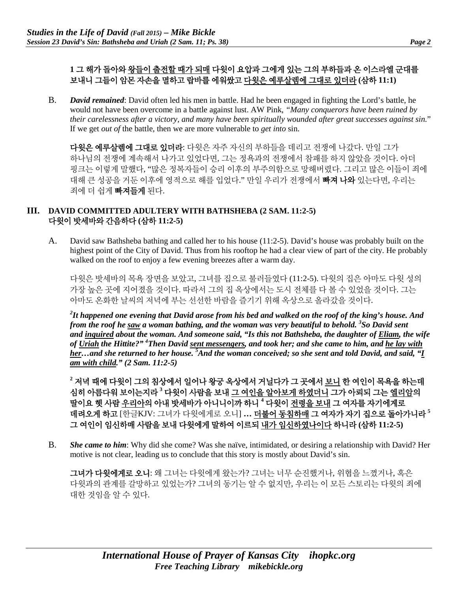## **1** 그 해가 돌아와 왕들이 출전할 때가 되매 다윗이 요압과 그에게 있는 그의 부하들과 온 이스라엘 군대를 보내니 그들이 암몬 자손을 멸하고 랍바를 에워쌌고 다윗은 예루살렘에 그대로 있더라 **(**삼하 **11:1)**

B. *David remained*: David often led his men in battle. Had he been engaged in fighting the Lord's battle, he would not have been overcome in a battle against lust. AW Pink, *"Many conquerors have been ruined by their carelessness after a victory, and many have been spiritually wounded after great successes against sin.*" If we get *out of* the battle, then we are more vulnerable to *get into* sin.

다윗은 예루살렘에 그대로 있더라: 다윗은 자주 자신의 부하들을 데리고 전쟁에 나갔다. 만일 그가 하나님의 전쟁에 계속해서 나가고 있었다면, 그는 정욕과의 전쟁에서 참패를 하지 않았을 것이다. 아더 핑크는 이렇게 말했다, "많은 정복자들이 승리 이후의 부주의함으로 망해버렸다. 그리고 많은 이들이 죄에 대해 큰 성공을 거둔 이후에 영적으로 해를 입었다." 만일 우리가 전쟁에서 **빠져 나와** 있는다면, 우리는 죄에 더 쉽게 빠져들게 된다.

#### **III. DAVID COMMITTED ADULTERY WITH BATHSHEBA (2 SAM. 11:2-5)** 다윗이 밧세바와 간음하다 **(**삼하 **11:2-5)**

A. David saw Bathsheba bathing and called her to his house (11:2-5). David's house was probably built on the highest point of the City of David. Thus from his rooftop he had a clear view of part of the city. He probably walked on the roof to enjoy a few evening breezes after a warm day.

다윗은 밧세바의 목욕 장면을 보았고, 그녀를 집으로 불러들였다 (11:2-5). 다윗의 집은 아마도 다윗 성의 가장 높은 곳에 지어졌을 것이다. 따라서 그의 집 옥상에서는 도시 전체를 다 볼 수 있었을 것이다. 그는 아마도 온화한 날씨의 저녁에 부는 선선한 바람을 즐기기 위해 옥상으로 올라갔을 것이다.

*2 It happened one evening that David arose from his bed and walked on the roof of the king's house. And from the roof he saw a woman bathing, and the woman was very beautiful to behold. 3 So David sent and inquired about the woman. And someone said, "Is this not Bathsheba, the daughter of Eliam, the wife of Uriah the Hittite?" 4 Then David sent messengers, and took her; and she came to him, and he lay with her…and she returned to her house. 5 And the woman conceived; so she sent and told David, and said, "I am with child." (2 Sam. 11:2-5)*

**<sup>2</sup>** 저녁 때에 다윗이 그의 침상에서 일어나 왕궁 옥상에서 거닐다가 그 곳에서 보니 한 여인이 목욕을 하는데 심히 아름다워 보이는지라 **<sup>3</sup>** 다윗이 사람을 보내 그 여인을 알아보게 하였더니 그가 아뢰되 그는 엘리암의 딸이요 헷 사람 우리아의 아내 밧세바가 아니니이까 하니 **<sup>4</sup>** 다윗이 전령을 보내 그 여자를 자기에게로 데려오게 하고 [한글KJV: 그녀가 다윗에게로 오니] **…** 더불어 동침하매 그 여자가 자기 집으로 돌아가니라 **<sup>5</sup>** 그 여인이 임신하매 사람을 보내 다윗에게 말하여 이르되 내가 임신하였나이다 하니라 **(**삼하 **11:2-5)**

B. *She came to him*: Why did she come? Was she naïve, intimidated, or desiring a relationship with David? Her motive is not clear, leading us to conclude that this story is mostly about David's sin.

그녀가 다윗에게로 오니: 왜 그녀는 다윗에게 왔는가? 그녀는 너무 순진했거나, 위협을 느꼈거나, 혹은 다윗과의 관계를 갈망하고 있었는가? 그녀의 동기는 알 수 없지만, 우리는 이 모든 스토리는 다윗의 죄에 대한 것임을 알 수 있다.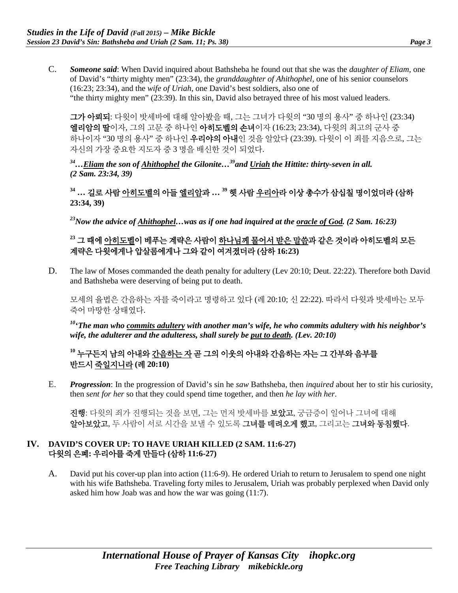C. *Someone said*: When David inquired about Bathsheba he found out that she was the *daughter of Eliam,* one of David's "thirty mighty men" (23:34), the *granddaughter of Ahithophel,* one of his senior counselors (16:23; 23:34), and the *wife of Uriah*, one David's best soldiers, also one of "the thirty mighty men" (23:39). In this sin, David also betrayed three of his most valued leaders.

그가 아뢰되: 다윗이 밧세바에 대해 알아봤을 때, 그는 그녀가 다윗의 "30 명의 용사" 중 하나인 (23:34) 엘리암의 딸이자, 그의 고문 중 하나인 아히도벨의 손녀이자 (16:23; 23:34), 다윗의 최고의 군사 중 하나이자 "30 명의 용사" 중 하나인 **우리야의 아내**인 것을 알았다 (23:39). 다윗이 이 죄를 지음으로, 그는 자신의 가장 중요한 지도자 중 3 명을 배신한 것이 되었다.

*34…Eliam the son of Ahithophel the Gilonite…39and Uriah the Hittite: thirty-seven in all. (2 Sam. 23:34, 39)*

**<sup>34</sup> …** 길로 사람 아히도벨의 아들 엘리암과 **… 39** 헷 사람 우리아라 이상 총수가 삼십칠 명이었더라 **(**삼하 **23:34, 39)**

*23Now the advice of Ahithophel…was as if one had inquired at the oracle of God. (2 Sam. 16:23)*

## **<sup>23</sup>** 그 때에 아히도벨이 베푸는 계략은 사람이 하나님께 물어서 받은 말씀과 같은 것이라 아히도벨의 모든 계략은 다윗에게나 압살롬에게나 그와 같이 여겨졌더라 **(**삼하 **16:23)**

D. The law of Moses commanded the death penalty for adultery (Lev 20:10; Deut. 22:22). Therefore both David and Bathsheba were deserving of being put to death.

모세의 율법은 간음하는 자를 죽이라고 명령하고 있다 (레 20:10; 신 22:22). 따라서 다윗과 밧세바는 모두 죽어 마땅한 상태였다.

*10'The man who commits adultery with another man's wife, he who commits adultery with his neighbor's wife, the adulterer and the adulteress, shall surely be put to death. (Lev. 20:10)*

## **<sup>10</sup>** 누구든지 남의 아내와 간음하는 자 곧 그의 이웃의 아내와 간음하는 자는 그 간부와 음부를 반드시 죽일지니라 **(**레 **20:10)**

E. *Progression*: In the progression of David's sin he *saw* Bathsheba, then *inquired* about her to stir his curiosity, then *sent for her* so that they could spend time together, and then *he lay with her*.

진행: 다윗의 죄가 진행되는 것을 보면, 그는 먼저 밧세바를 보았고, 궁금증이 일어나 그녀에 대해 알아보았고, 두 사람이 서로 시간을 보낼 수 있도록 그녀를 데려오게 했고, 그리고는 그녀와 동침했다.

#### **IV. DAVID'S COVER UP: TO HAVE URIAH KILLED (2 SAM. 11:6-27)** 다윗의 은폐**:** 우리아를 죽게 만들다 **(**삼하 **11:6-27)**

A. David put his cover-up plan into action (11:6-9). He ordered Uriah to return to Jerusalem to spend one night with his wife Bathsheba. Traveling forty miles to Jerusalem, Uriah was probably perplexed when David only asked him how Joab was and how the war was going (11:7).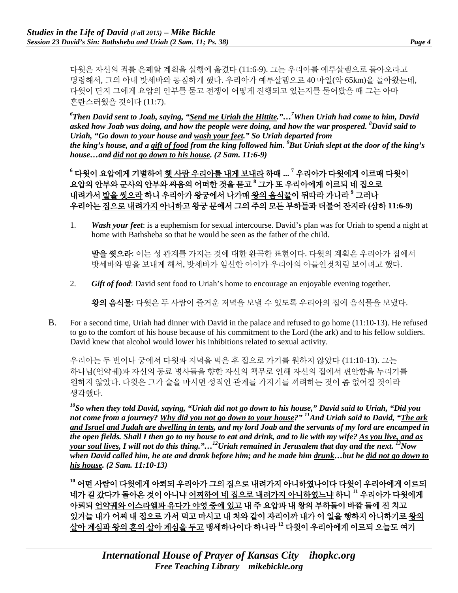다윗은 자신의 죄를 은폐할 계획을 실행에 옮겼다 (11:6-9). 그는 우리아를 예루살렘으로 돌아오라고 명령해서, 그의 아내 밧세바와 동침하게 했다. 우리아가 예루살렘으로 40 마일(약 65km)을 돌아왔는데, 다윗이 단지 그에게 요압의 안부를 묻고 전쟁이 어떻게 진행되고 있는지를 물어봤을 때 그는 아마 혼란스러웠을 것이다 (11:7).

*6 Then David sent to Joab, saying, "Send me Uriah the Hittite."…7 When Uriah had come to him, David asked how Joab was doing, and how the people were doing, and how the war prospered. 8 David said to Uriah, "Go down to your house and wash your feet." So Uriah departed from the king's house, and a gift of food from the king followed him. 9 But Uriah slept at the door of the king's house…and did not go down to his house. (2 Sam. 11:6-9)*

**<sup>6</sup>** 다윗이 요압에게 기별하여 헷 사람 우리아를 내게 보내라 하매 **... <sup>7</sup>** 우리아가 다윗에게 이르매 다윗이 요압의 안부와 군사의 안부와 싸움의 어떠한 것을 묻고 **<sup>8</sup>** 그가 또 우리아에게 이르되 네 집으로 내려가서 발을 씻으라 하니 우리아가 왕궁에서 나가매 왕의 음식물이 뒤따라 가니라 **<sup>9</sup>** 그러나 우리아는 집으로 내려가지 아니하고 왕궁 문에서 그의 주의 모든 부하들과 더불어 잔지라 **(**삼하 **11:6-9)**

1. *Wash your feet*: is a euphemism for sexual intercourse. David's plan was for Uriah to spend a night at home with Bathsheba so that he would be seen as the father of the child.

발을 씻으라: 이는 성 관계를 가지는 것에 대한 완곡한 표현이다. 다윗의 계획은 우리아가 집에서 밧세바와 밤을 보내게 해서, 밧세바가 임신한 아이가 우리아의 아들인것처럼 보이려고 했다.

2. *Gift of food*: David sent food to Uriah's home to encourage an enjoyable evening together.

왕의 음식물: 다윗은 두 사람이 즐거운 저녁을 보낼 수 있도록 우리아의 집에 음식물을 보냈다.

B. For a second time, Uriah had dinner with David in the palace and refused to go home (11:10-13). He refused to go to the comfort of his house because of his commitment to the Lord (the ark) and to his fellow soldiers. David knew that alcohol would lower his inhibitions related to sexual activity.

우리아는 두 번이나 궁에서 다윗과 저녁을 먹은 후 집으로 가기를 원하지 않았다 (11:10-13). 그는 하나님(언약궤)과 자신의 동료 병사들을 향한 자신의 책무로 인해 자신의 집에서 편안함을 누리기를 원하지 않았다. 다윗은 그가 술을 마시면 성적인 관계를 가지기를 꺼려하는 것이 좀 없어질 것이라 생각했다.

*10So when they told David, saying, "Uriah did not go down to his house," David said to Uriah, "Did you not come from a journey? Why did you not go down to your house?" 11And Uriah said to David, "The ark and Israel and Judah are dwelling in tents, and my lord Joab and the servants of my lord are encamped in the open fields. Shall I then go to my house to eat and drink, and to lie with my wife? As you live, and as your soul lives, I will not do this thing."…12Uriah remained in Jerusalem that day and the next. 13Now when David called him, he ate and drank before him; and he made him drunk…but he did not go down to his house. (2 Sam. 11:10-13)*

**<sup>10</sup>** 어떤 사람이 다윗에게 아뢰되 우리아가 그의 집으로 내려가지 아니하였나이다 다윗이 우리아에게 이르되 네가 길 갔다가 돌아온 것이 아니냐 어찌하여 네 집으로 내려가지 아니하였느냐 하니 **<sup>11</sup>** 우리아가 다윗에게 아뢰되 언약궤와 이스라엘과 유다가 야영 중에 있고 내 주 요압과 내 왕의 부하들이 바깥 들에 진 치고 있거늘 내가 어찌 내 집으로 가서 먹고 마시고 내 처와 같이 자리이까 내가 이 일을 행하지 아니하기로 왕의 살아 계심과 왕의 혼의 살아 계심을 두고 맹세하나이다 하니라 **<sup>12</sup>** 다윗이 우리아에게 이르되 오늘도 여기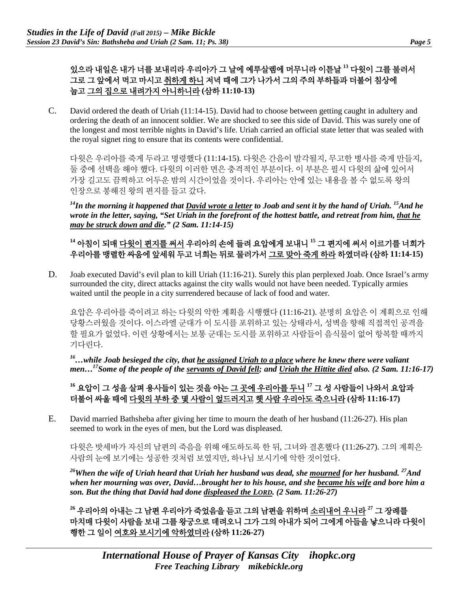있으라 내일은 내가 너를 보내리라 우리아가 그 날에 예루살렘에 머무니라 이튿날 **<sup>13</sup>** 다윗이 그를 불러서 그로 그 앞에서 먹고 마시고 취하게 하니 저녁 때에 그가 나가서 그의 주의 부하들과 더불어 침상에 눕고 그의 집으로 내려가지 아니하니라 **(**삼하 **11:10-13)**

C. David ordered the death of Uriah (11:14-15). David had to choose between getting caught in adultery and ordering the death of an innocent soldier. We are shocked to see this side of David. This was surely one of the longest and most terrible nights in David's life. Uriah carried an official state letter that was sealed with the royal signet ring to ensure that its contents were confidential.

다윗은 우리아를 죽게 두라고 명령했다 (11:14-15). 다윗은 간음이 발각될지, 무고한 병사를 죽게 만들지, 둘 중에 선택을 해야 했다. 다윗의 이러한 면은 충격적인 부분이다. 이 부분은 필시 다윗의 삶에 있어서 가장 길고도 끔찍하고 어두운 밤의 시간이었을 것이다. 우리아는 안에 있는 내용을 볼 수 없도록 왕의 인장으로 봉해진 왕의 편지를 들고 갔다.

*14In the morning it happened that David wrote a letter to Joab and sent it by the hand of Uriah. 15And he wrote in the letter, saying, "Set Uriah in the forefront of the hottest battle, and retreat from him, that he may be struck down and die." (2 Sam. 11:14-15)*

# **<sup>14</sup>** 아침이 되매 다윗이 편지를 써서 우리아의 손에 들려 요압에게 보내니 **<sup>15</sup>** 그 편지에 써서 이르기를 너희가 우리아를 맹렬한 싸움에 앞세워 두고 너희는 뒤로 물러가서 그로 맞아 죽게 하라 하였더라 **(**삼하 **11:14-15)**

D. Joab executed David's evil plan to kill Uriah (11:16-21). Surely this plan perplexed Joab. Once Israel's army surrounded the city, direct attacks against the city walls would not have been needed. Typically armies waited until the people in a city surrendered because of lack of food and water.

요압은 우리아를 죽이려고 하는 다윗의 악한 계획을 시행했다 (11:16-21). 분명히 요압은 이 계획으로 인해 당황스러웠을 것이다. 이스라엘 군대가 이 도시를 포위하고 있는 상태라서, 성벽을 향해 직접적인 공격을 할 필요가 없었다. 이런 상황에서는 보통 군대는 도시를 포위하고 사람들이 음식물이 없어 항복할 때까지 기다린다.

*16…while Joab besieged the city, that he assigned Uriah to a place where he knew there were valiant men...*<sup>17</sup>Some of the people of the servants of David fell; and Uriah the Hittite died also. (2 Sam. 11:16-17)

**<sup>16</sup>** 요압이 그 성을 살펴 용사들이 있는 것을 아는 그 곳에 우리아를 두니 **<sup>17</sup>** 그 성 사람들이 나와서 요압과 더불어 싸울 때에 다윗의 부하 중 몇 사람이 엎드러지고 헷 사람 우리아도 죽으니라 **(**삼하 **11:16-17)**

E. David married Bathsheba after giving her time to mourn the death of her husband (11:26-27). His plan seemed to work in the eyes of men, but the Lord was displeased.

다윗은 밧세바가 자신의 남편의 죽음을 위해 애도하도록 한 뒤, 그녀와 결혼했다 (11:26-27). 그의 계획은 사람의 눈에 보기에는 성공한 것처럼 보였지만, 하나님 보시기에 악한 것이었다.

*26When the wife of Uriah heard that Uriah her husband was dead, she mourned for her husband. 27And when her mourning was over, David…brought her to his house, and she became his wife and bore him a son. But the thing that David had done displeased the LORD. (2 Sam. 11:26-27)*

**<sup>26</sup>** 우리아의 아내는 그 남편 우리아가 죽었음을 듣고 그의 남편을 위하며 소리내어 우니라 **<sup>27</sup>** 그 장례를 마치매 다윗이 사람을 보내 그를 왕궁으로 데려오니 그가 그의 아내가 되어 그에게 아들을 낳으니라 다윗이 행한 그 일이 여호와 보시기에 악하였더라 **(**삼하 **11:26-27)**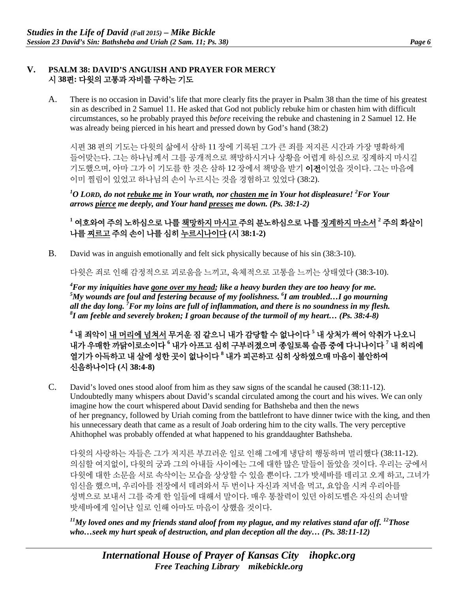#### **V. PSALM 38: DAVID'S ANGUISH AND PRAYER FOR MERCY**  시 **38**편**:** 다윗의 고통과 자비를 구하는 기도

A. There is no occasion in David's life that more clearly fits the prayer in Psalm 38 than the time of his greatest sin as described in 2 Samuel 11. He asked that God not publicly rebuke him or chasten him with difficult circumstances, so he probably prayed this *before* receiving the rebuke and chastening in 2 Samuel 12. He was already being pierced in his heart and pressed down by God's hand (38:2)

시편 38 편의 기도는 다윗의 삶에서 삼하 11 장에 기록된 그가 큰 죄를 저지른 시간과 가장 명확하게 들어맞는다. 그는 하나님께서 그를 공개적으로 책망하시거나 상황을 어렵게 하심으로 징계하지 마시길 기도했으며, 아마 그가 이 기도를 한 것은 삼하 12 장에서 책망을 받기 이전이었을 것이다. 그는 마음에 이미 찔림이 있었고 하나님의 손이 누르시는 것을 경험하고 있었다 (38:2).

*1 O LORD, do not rebuke me in Your wrath, nor chasten me in Your hot displeasure! <sup>2</sup> For Your arrows pierce me deeply, and Your hand presses me down. (Ps. 38:1-2)*

**<sup>1</sup>** 여호와여 주의 노하심으로 나를 책망하지 마시고 주의 분노하심으로 나를 징계하지 마소서 **<sup>2</sup>** 주의 화살이 나를 찌르고 주의 손이 나를 심히 누르시나이다 **(**시 **38:1-2)**

B. David was in anguish emotionally and felt sick physically because of his sin (38:3-10).

다윗은 죄로 인해 감정적으로 괴로움을 느끼고, 육체적으로 고통을 느끼는 상태였다 (38:3-10).

*4 For my iniquities have gone over my head; like a heavy burden they are too heavy for me.*   $^5$ My wounds are foul and festering because of my foolishness.  $^6$ I am troubled...I go mourning *all the day long. 7 For my loins are full of inflammation, and there is no soundness in my flesh. 8 I am feeble and severely broken; I groan because of the turmoil of my heart… (Ps. 38:4-8)*

**<sup>4</sup>** 내 죄악이 내 머리에 넘쳐서 무거운 짐 같으니 내가 감당할 수 없나이다 **<sup>5</sup>** 내 상처가 썩어 악취가 나오니 내가 우매한 까닭이로소이다 **<sup>6</sup>** 내가 아프고 심히 구부러졌으며 종일토록 슬픔 중에 다니나이다 **<sup>7</sup>** 내 허리에 열기가 아득하고 내 살에 성한 곳이 없나이다 **<sup>8</sup>** 내가 피곤하고 심히 상하였으매 마음이 불안하여 신음하나이다 **(**시 **38:4-8)**

C. David's loved ones stood aloof from him as they saw signs of the scandal he caused (38:11-12). Undoubtedly many whispers about David's scandal circulated among the court and his wives. We can only imagine how the court whispered about David sending for Bathsheba and then the news of her pregnancy, followed by Uriah coming from the battlefront to have dinner twice with the king, and then his unnecessary death that came as a result of Joab ordering him to the city walls. The very perceptive Ahithophel was probably offended at what happened to his granddaughter Bathsheba.

다윗의 사랑하는 자들은 그가 저지른 부끄러운 일로 인해 그에게 냉담히 행동하며 멀리했다 (38:11-12). 의심할 여지없이, 다윗의 궁과 그의 아내들 사이에는 그에 대한 많은 말들이 돌았을 것이다. 우리는 궁에서 다윗에 대한 소문을 서로 속삭이는 모습을 상상할 수 있을 뿐이다. 그가 밧세바를 데리고 오게 하고, 그녀가 임신을 했으며, 우리아를 전장에서 데려와서 두 번이나 자신과 저녁을 먹고, 요압을 시켜 우리아를 성벽으로 보내서 그를 죽게 한 일들에 대해서 말이다. 매우 통찰력이 있던 아히도벨은 자신의 손녀딸 밧세바에게 일어난 일로 인해 아마도 마음이 상했을 것이다.

*11My loved ones and my friends stand aloof from my plague, and my relatives stand afar off. 12Those who…seek my hurt speak of destruction, and plan deception all the day… (Ps. 38:11-12)*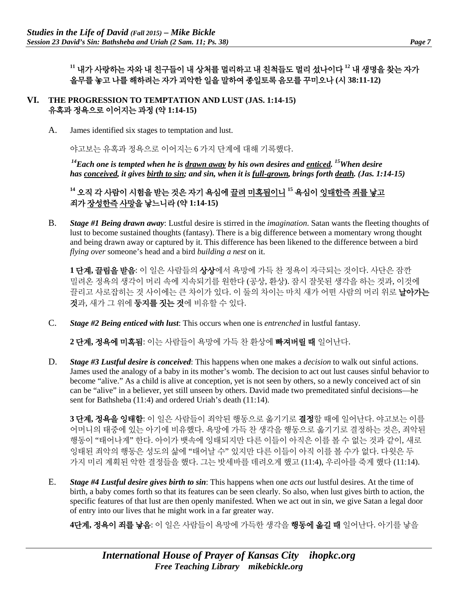**<sup>11</sup>** 내가 사랑하는 자와 내 친구들이 내 상처를 멀리하고 내 친척들도 멀리 섰나이다 **<sup>12</sup>** 내 생명을 찾는 자가 올무를 놓고 나를 해하려는 자가 괴악한 일을 말하여 종일토록 음모를 꾸미오나 **(**시 **38:11-12)**

- **VI. THE PROGRESSION TO TEMPTATION AND LUST (JAS. 1:14-15)**  유혹과 정욕으로 이어지는 과정 **(**약 **1:14-15)**
	- A. James identified six stages to temptation and lust.

야고보는 유혹과 정욕으로 이어지는 6 가지 단계에 대해 기록했다.

*14Each one is tempted when he is drawn away by his own desires and enticed. 15When desire has conceived, it gives birth to sin; and sin, when it is full-grown, brings forth death. (Jas. 1:14-15)* 

**<sup>14</sup>** 오직 각 사람이 시험을 받는 것은 자기 욕심에 끌려 미혹됨이니 **<sup>15</sup>** 욕심이 잉태한즉 죄를 낳고 죄가 장성한즉 사망을 낳느니라 **(**약 **1:14-15)**

B. *Stage #1 Being drawn away*: Lustful desire is stirred in the *imagination*. Satan wants the fleeting thoughts of lust to become sustained thoughts (fantasy). There is a big difference between a momentary wrong thought and being drawn away or captured by it. This difference has been likened to the difference between a bird *flying over* someone's head and a bird *building a nest* on it.

**1** 단계**,** 끌림을 받음: 이 일은 사람들의 상상에서 욕망에 가득 찬 정욕이 자극되는 것이다. 사단은 잠깐 밀려온 정욕의 생각이 머리 속에 지속되기를 원한다 (공상, 환상). 잠시 잘못된 생각을 하는 것과, 이것에 끌리고 사로잡히는 것 사이에는 큰 차이가 있다. 이 둘의 차이는 마치 새가 어떤 사람의 머리 위로 **날아가는** 것과, 새가 그 위에 둥지를 짓는 것에 비유할 수 있다.

C. *Stage #2 Being enticed with lust*: This occurs when one is *entrenched* in lustful fantasy.

**2** 단계**,** 정욕에 미혹됨: 이는 사람들이 욕망에 가득 찬 환상에 빠져버릴 때 일어난다.

D. *Stage #3 Lustful desire is conceived*: This happens when one makes a *decision* to walk out sinful actions. James used the analogy of a baby in its mother's womb. The decision to act out lust causes sinful behavior to become "alive." As a child is alive at conception, yet is not seen by others, so a newly conceived act of sin can be "alive" in a believer, yet still unseen by others. David made two premeditated sinful decisions—he sent for Bathsheba (11:4) and ordered Uriah's death (11:14).

**3** 단계**,** 정욕을 잉태함: 이 일은 사람들이 죄악된 행동으로 옮기기로 결정할 때에 일어난다. 야고보는 이를 어머니의 태중에 있는 아기에 비유했다. 욕망에 가득 찬 생각을 행동으로 옮기기로 결정하는 것은, 죄악된 행동이 "태어나게" 한다. 아이가 뱃속에 잉태되지만 다른 이들이 아직은 이를 볼 수 없는 것과 같이, 새로 잉태된 죄악의 행동은 성도의 삶에 "태어날 수" 있지만 다른 이들이 아직 이를 볼 수가 없다. 다윗은 두 가지 미리 계획된 악한 결정들을 했다. 그는 밧세바를 데려오게 했고 (11:4), 우리아를 죽게 했다 (11:14).

E. *Stage #4 Lustful desire gives birth to sin*: This happens when one *acts out* lustful desires. At the time of birth, a baby comes forth so that its features can be seen clearly. So also, when lust gives birth to action, the specific features of that lust are then openly manifested. When we act out in sin, we give Satan a legal door of entry into our lives that he might work in a far greater way.

**4**단계**,** 정욕이 죄를 낳음: 이 일은 사람들이 욕망에 가득한 생각을 행동에 옮길 때 일어난다. 아기를 낳을